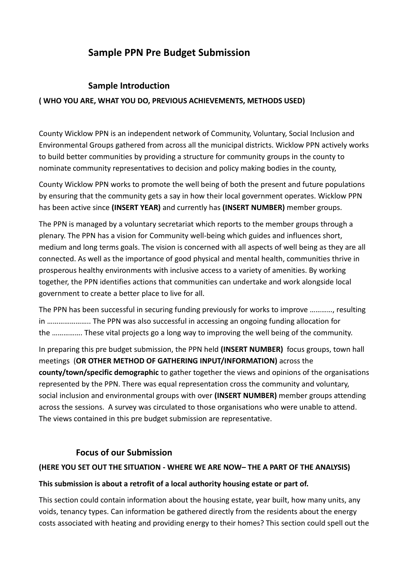# **Sample PPN Pre Budget Submission**

# **Sample Introduction**

### **( WHO YOU ARE, WHAT YOU DO, PREVIOUS ACHIEVEMENTS, METHODS USED)**

County Wicklow PPN is an independent network of Community, Voluntary, Social Inclusion and Environmental Groups gathered from across all the municipal districts. Wicklow PPN actively works to build better communities by providing a structure for community groups in the county to nominate community representatives to decision and policy making bodies in the county,

County Wicklow PPN works to promote the well being of both the present and future populations by ensuring that the community gets a say in how their local government operates. Wicklow PPN has been active since **(INSERT YEAR)** and currently has **(INSERT NUMBER)** member groups.

The PPN is managed by a voluntary secretariat which reports to the member groups through a plenary. The PPN has a vision for Community well-being which guides and influences short, medium and long terms goals. The vision is concerned with all aspects of well being as they are all connected. As well as the importance of good physical and mental health, communities thrive in prosperous healthy environments with inclusive access to a variety of amenities. By working together, the PPN identifies actions that communities can undertake and work alongside local government to create a better place to live for all.

The PPN has been successful in securing funding previously for works to improve …………, resulting in ………………….. The PPN was also successful in accessing an ongoing funding allocation for the ……………. These vital projects go a long way to improving the well being of the community.

In preparing this pre budget submission, the PPN held **(INSERT NUMBER)** focus groups, town hall meetings (**OR OTHER METHOD OF GATHERING INPUT/INFORMATION)** across the **county/town/specific demographic** to gather together the views and opinions of the organisations represented by the PPN. There was equal representation cross the community and voluntary, social inclusion and environmental groups with over **(INSERT NUMBER)** member groups attending across the sessions. A survey was circulated to those organisations who were unable to attend. The views contained in this pre budget submission are representative.

# **Focus of our Submission**

#### **(HERE YOU SET OUT THE SITUATION - WHERE WE ARE NOW– THE A PART OF THE ANALYSIS)**

#### **This submission is about a retrofit of a local authority housing estate or part of.**

This section could contain information about the housing estate, year built, how many units, any voids, tenancy types. Can information be gathered directly from the residents about the energy costs associated with heating and providing energy to their homes? This section could spell out the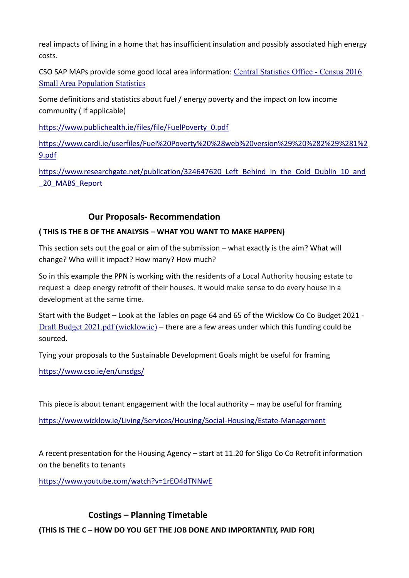real impacts of living in a home that has insufficient insulation and possibly associated high energy costs.

CSO SAP MAPs provide some good local area information: [Central Statistics Office -](https://census.cso.ie/sapmap/) Census 2016 [Small Area Population Statistics](https://census.cso.ie/sapmap/)

Some definitions and statistics about fuel / energy poverty and the impact on low income community ( if applicable)

https://www.publichealth.ie/files/file/FuelPoverty\_0.pdf

https://www.cardi.ie/userfiles/Fuel%20Poverty%20%28web%20version%29%20%282%29%281%2 9.pdf

https://www.researchgate.net/publication/324647620\_Left\_Behind\_in\_the\_Cold\_Dublin\_10\_and \_20\_MABS\_Report

# **Our Proposals- Recommendation**

#### **( THIS IS THE B OF THE ANALYSIS – WHAT YOU WANT TO MAKE HAPPEN)**

This section sets out the goal or aim of the submission – what exactly is the aim? What will change? Who will it impact? How many? How much?

So in this example the PPN is working with the residents of a Local Authority housing estate to request a deep energy retrofit of their houses. It would make sense to do every house in a development at the same time.

Start with the Budget – Look at the Tables on page 64 and 65 of the Wicklow Co Co Budget 2021 - [Draft Budget 2021.pdf \(wicklow.ie\)](https://www.wicklow.ie/Portals/0/adam/Documents/hzMTrGocCkSGw_4xVav4Fg/Link/Draft%20Budget%202021.pdf) – there are a few areas under which this funding could be sourced.

Tying your proposals to the Sustainable Development Goals might be useful for framing

<https://www.cso.ie/en/unsdgs/>

This piece is about tenant engagement with the local authority – may be useful for framing

<https://www.wicklow.ie/Living/Services/Housing/Social-Housing/Estate-Management>

A recent presentation for the Housing Agency – start at 11.20 for Sligo Co Co Retrofit information on the benefits to tenants

<https://www.youtube.com/watch?v=1rEO4dTNNwE>

# **Costings – Planning Timetable**

**(THIS IS THE C – HOW DO YOU GET THE JOB DONE AND IMPORTANTLY, PAID FOR)**